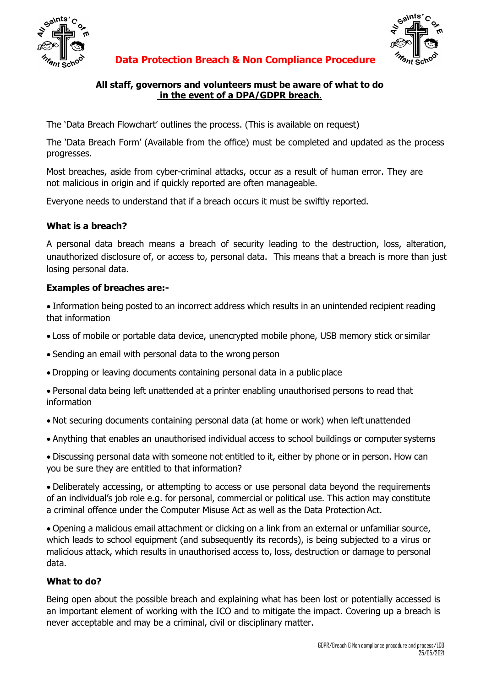

Saints

#### **Data Protection Breach & Non Compliance Procedure**

#### **All staff, governors and volunteers must be aware of what to do in the event of a DPA/GDPR breach**.

The 'Data Breach Flowchart' outlines the process. (This is available on request)

The 'Data Breach Form' (Available from the office) must be completed and updated as the process progresses.

Most breaches, aside from cyber-criminal attacks, occur as a result of human error. They are not malicious in origin and if quickly reported are often manageable.

Everyone needs to understand that if a breach occurs it must be swiftly reported.

## **What is a breach?**

A personal data breach means a breach of security leading to the destruction, loss, alteration, unauthorized disclosure of, or access to, personal data. This means that a breach is more than just losing personal data.

#### **Examples of breaches are:-**

 Information being posted to an incorrect address which results in an unintended recipient reading that information

- Loss of mobile or portable data device, unencrypted mobile phone, USB memory stick or similar
- Sending an email with personal data to the wrong person
- Dropping or leaving documents containing personal data in a public place
- Personal data being left unattended at a printer enabling unauthorised persons to read that information
- Not securing documents containing personal data (at home or work) when left unattended
- Anything that enables an unauthorised individual access to school buildings or computer systems

 Discussing personal data with someone not entitled to it, either by phone or in person. How can you be sure they are entitled to that information?

 Deliberately accessing, or attempting to access or use personal data beyond the requirements of an individual's job role e.g. for personal, commercial or political use. This action may constitute a criminal offence under the Computer Misuse Act as well as the Data Protection Act.

 Opening a malicious email attachment or clicking on a link from an external or unfamiliar source, which leads to school equipment (and subsequently its records), is being subjected to a virus or malicious attack, which results in unauthorised access to, loss, destruction or damage to personal data.

## **What to do?**

Being open about the possible breach and explaining what has been lost or potentially accessed is an important element of working with the ICO and to mitigate the impact. Covering up a breach is never acceptable and may be a criminal, civil or disciplinary matter.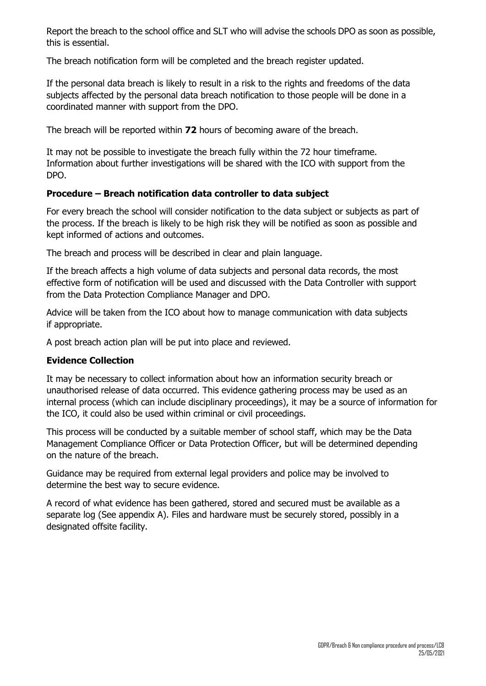Report the breach to the school office and SLT who will advise the schools DPO as soon as possible, this is essential.

The breach notification form will be completed and the breach register updated.

If the personal data breach is likely to result in a risk to the rights and freedoms of the data subjects affected by the personal data breach notification to those people will be done in a coordinated manner with support from the DPO.

The breach will be reported within **72** hours of becoming aware of the breach.

It may not be possible to investigate the breach fully within the 72 hour timeframe. Information about further investigations will be shared with the ICO with support from the DPO.

## **Procedure – Breach notification data controller to data subject**

For every breach the school will consider notification to the data subject or subjects as part of the process. If the breach is likely to be high risk they will be notified as soon as possible and kept informed of actions and outcomes.

The breach and process will be described in clear and plain language.

If the breach affects a high volume of data subjects and personal data records, the most effective form of notification will be used and discussed with the Data Controller with support from the Data Protection Compliance Manager and DPO.

Advice will be taken from the ICO about how to manage communication with data subjects if appropriate.

A post breach action plan will be put into place and reviewed.

## **Evidence Collection**

It may be necessary to collect information about how an information security breach or unauthorised release of data occurred. This evidence gathering process may be used as an internal process (which can include disciplinary proceedings), it may be a source of information for the ICO, it could also be used within criminal or civil proceedings.

This process will be conducted by a suitable member of school staff, which may be the Data Management Compliance Officer or Data Protection Officer, but will be determined depending on the nature of the breach.

Guidance may be required from external legal providers and police may be involved to determine the best way to secure evidence.

A record of what evidence has been gathered, stored and secured must be available as a separate log (See appendix A). Files and hardware must be securely stored, possibly in a designated offsite facility.